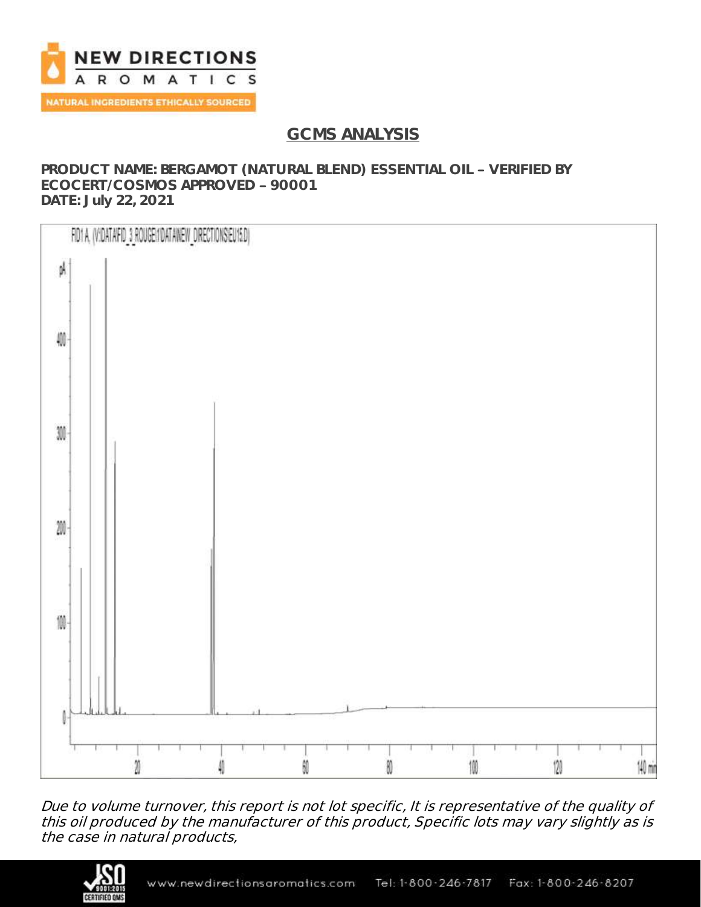

# **GCMS ANALYSIS**

### **PRODUCT NAME: BERGAMOT (NATURAL BLEND) ESSENTIAL OIL - VERIFIED BY ECOCERT/COSMOS APPROVED 90001 DATE: July 22, 2021**



Due to volume turnover, this report is not lot specific, It is representative of the quality of this oil produced by the manufacturer of this product, Specific lots may vary slightly as is the case in natural products,

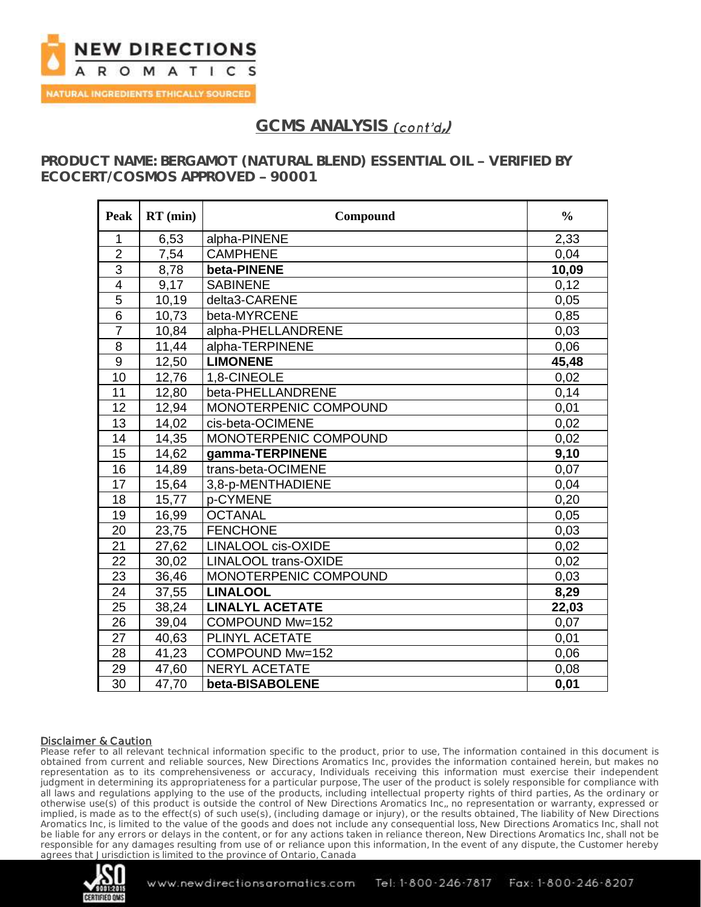

## GCMS ANALYSIS *(cont'd.)*

**PRODUCT NAME: BERGAMOT (NATURAL BLEND) ESSENTIAL OIL - VERIFIED BY** ECOCERT/COSMOS APPROVED - 90001

| Peak            | $RT$ (min) | Compound                    | $\frac{0}{0}$ |
|-----------------|------------|-----------------------------|---------------|
| 1               | 6,53       | alpha-PINENE                | 2,33          |
| $\overline{2}$  | 7,54       | <b>CAMPHENE</b>             | 0,04          |
| $\overline{3}$  | 8,78       | beta-PINENE                 | 10,09         |
| $\overline{4}$  | 9,17       | <b>SABINENE</b>             | 0,12          |
| 5               | 10,19      | delta3-CARENE               | 0,05          |
| $\overline{6}$  | 10,73      | beta-MYRCENE                | 0,85          |
| $\overline{7}$  | 10,84      | alpha-PHELLANDRENE          | 0,03          |
| $\overline{8}$  | 11,44      | alpha-TERPINENE             | 0,06          |
| 9               | 12,50      | <b>LIMONENE</b>             | 45,48         |
| 10              | 12,76      | 1,8-CINEOLE                 | 0,02          |
| 11              | 12,80      | beta-PHELLANDRENE           | 0,14          |
| 12              | 12,94      | MONOTERPENIC COMPOUND       | 0,01          |
| 13              | 14,02      | cis-beta-OCIMENE            | 0,02          |
| 14              | 14,35      | MONOTERPENIC COMPOUND       | 0,02          |
| 15              | 14,62      | gamma-TERPINENE             | 9,10          |
| 16              | 14,89      | trans-beta-OCIMENE          | 0,07          |
| 17              | 15,64      | 3,8-p-MENTHADIENE           | 0,04          |
| 18              | 15,77      | p-CYMENE                    | 0,20          |
| 19              | 16,99      | <b>OCTANAL</b>              | 0,05          |
| 20              | 23,75      | <b>FENCHONE</b>             | 0,03          |
| 21              | 27,62      | <b>LINALOOL cis-OXIDE</b>   | 0,02          |
| $\overline{22}$ | 30,02      | <b>LINALOOL trans-OXIDE</b> | 0,02          |
| 23              | 36,46      | MONOTERPENIC COMPOUND       | 0,03          |
| 24              | 37,55      | <b>LINALOOL</b>             | 8,29          |
| 25              | 38,24      | <b>LINALYL ACETATE</b>      | 22,03         |
| 26              | 39,04      | COMPOUND Mw=152             | 0,07          |
| 27              | 40,63      | PLINYL ACETATE              | 0,01          |
| 28              | 41,23      | COMPOUND Mw=152             | 0,06          |
| 29              | 47,60      | <b>NERYL ACETATE</b>        | 0,08          |
| 30              | 47,70      | beta-BISABOLENE             | 0,01          |

### Disclaimer & Caution

Please refer to all relevant technical information specific to the product, prior to use, The information contained in this document is obtained from current and reliable sources, New Directions Aromatics Inc, provides the information contained herein, but makes no representation as to its comprehensiveness or accuracy, Individuals receiving this information must exercise their independent judgment in determining its appropriateness for a particular purpose, The user of the product is solely responsible for compliance with all laws and regulations applying to the use of the products, including intellectual property rights of third parties, As the ordinary or otherwise use(s) of this product is outside the control of New Directions Aromatics Inc,, no representation or warranty, expressed or implied, is made as to the effect(s) of such use(s), (including damage or injury), or the results obtained, The liability of New Directions Aromatics Inc, is limited to the value of the goods and does not include any consequential loss, New Directions Aromatics Inc, shall not be liable for any errors or delays in the content, or for any actions taken in reliance thereon, New Directions Aromatics Inc, shall not be responsible for any damages resulting from use of or reliance upon this information, In the event of any dispute, the Customer hereby agrees that Jurisdiction is limited to the province of Ontario, Canada